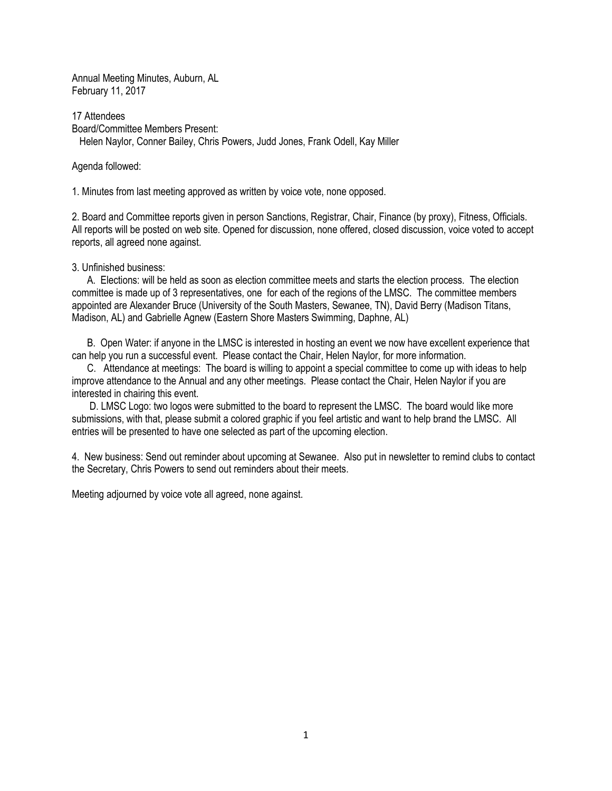Annual Meeting Minutes, Auburn, AL February 11, 2017

17 Attendees Board/Committee Members Present: Helen Naylor, Conner Bailey, Chris Powers, Judd Jones, Frank Odell, Kay Miller

Agenda followed:

1. Minutes from last meeting approved as written by voice vote, none opposed.

2. Board and Committee reports given in person Sanctions, Registrar, Chair, Finance (by proxy), Fitness, Officials. All reports will be posted on web site. Opened for discussion, none offered, closed discussion, voice voted to accept reports, all agreed none against.

#### 3. Unfinished business:

 A. Elections: will be held as soon as election committee meets and starts the election process. The election committee is made up of 3 representatives, one for each of the regions of the LMSC. The committee members appointed are Alexander Bruce (University of the South Masters, Sewanee, TN), David Berry (Madison Titans, Madison, AL) and Gabrielle Agnew (Eastern Shore Masters Swimming, Daphne, AL)

 B. Open Water: if anyone in the LMSC is interested in hosting an event we now have excellent experience that can help you run a successful event. Please contact the Chair, Helen Naylor, for more information.

 C. Attendance at meetings: The board is willing to appoint a special committee to come up with ideas to help improve attendance to the Annual and any other meetings. Please contact the Chair, Helen Naylor if you are interested in chairing this event.

 D. LMSC Logo: two logos were submitted to the board to represent the LMSC. The board would like more submissions, with that, please submit a colored graphic if you feel artistic and want to help brand the LMSC. All entries will be presented to have one selected as part of the upcoming election.

4. New business: Send out reminder about upcoming at Sewanee. Also put in newsletter to remind clubs to contact the Secretary, Chris Powers to send out reminders about their meets.

Meeting adjourned by voice vote all agreed, none against.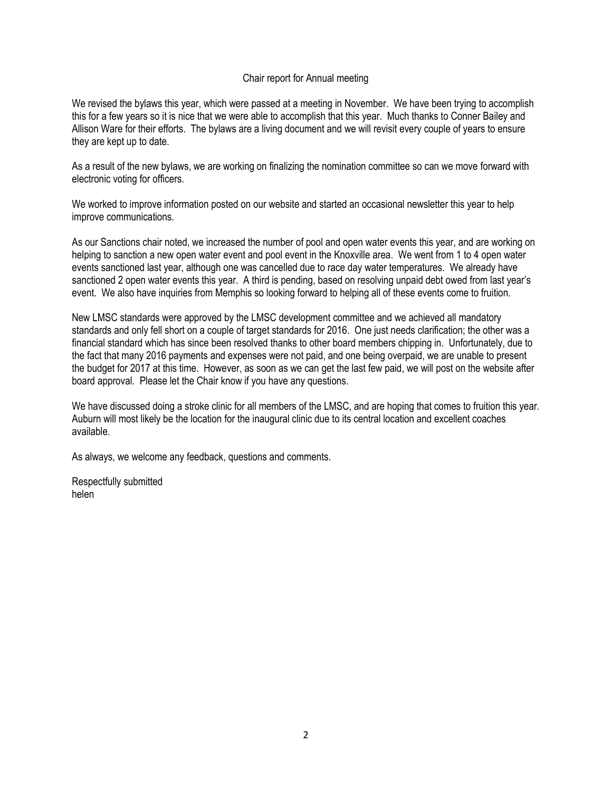## Chair report for Annual meeting

We revised the bylaws this year, which were passed at a meeting in November. We have been trying to accomplish this for a few years so it is nice that we were able to accomplish that this year. Much thanks to Conner Bailey and Allison Ware for their efforts. The bylaws are a living document and we will revisit every couple of years to ensure they are kept up to date.

As a result of the new bylaws, we are working on finalizing the nomination committee so can we move forward with electronic voting for officers.

We worked to improve information posted on our website and started an occasional newsletter this year to help improve communications.

As our Sanctions chair noted, we increased the number of pool and open water events this year, and are working on helping to sanction a new open water event and pool event in the Knoxville area. We went from 1 to 4 open water events sanctioned last year, although one was cancelled due to race day water temperatures. We already have sanctioned 2 open water events this year. A third is pending, based on resolving unpaid debt owed from last year's event. We also have inquiries from Memphis so looking forward to helping all of these events come to fruition.

New LMSC standards were approved by the LMSC development committee and we achieved all mandatory standards and only fell short on a couple of target standards for 2016. One just needs clarification; the other was a financial standard which has since been resolved thanks to other board members chipping in. Unfortunately, due to the fact that many 2016 payments and expenses were not paid, and one being overpaid, we are unable to present the budget for 2017 at this time. However, as soon as we can get the last few paid, we will post on the website after board approval. Please let the Chair know if you have any questions.

We have discussed doing a stroke clinic for all members of the LMSC, and are hoping that comes to fruition this year. Auburn will most likely be the location for the inaugural clinic due to its central location and excellent coaches available.

As always, we welcome any feedback, questions and comments.

Respectfully submitted helen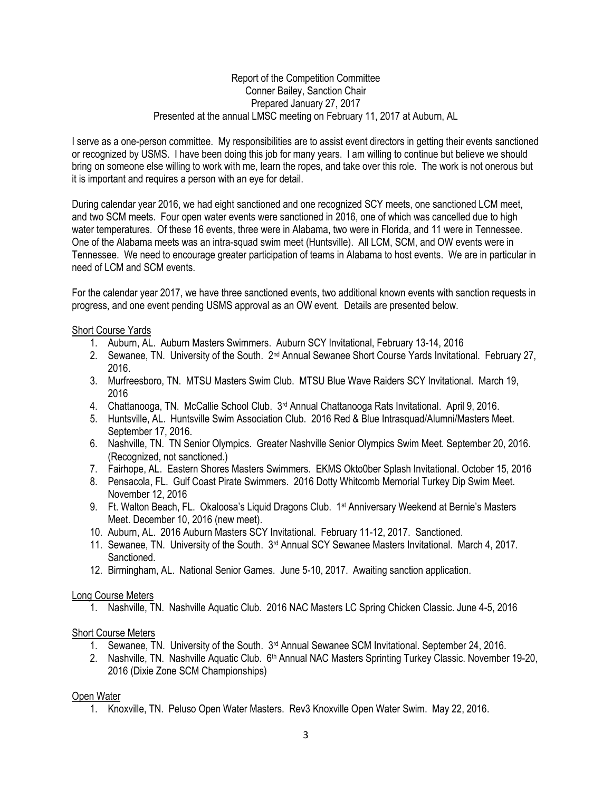## Report of the Competition Committee Conner Bailey, Sanction Chair Prepared January 27, 2017 Presented at the annual LMSC meeting on February 11, 2017 at Auburn, AL

I serve as a one-person committee. My responsibilities are to assist event directors in getting their events sanctioned or recognized by USMS. I have been doing this job for many years. I am willing to continue but believe we should bring on someone else willing to work with me, learn the ropes, and take over this role. The work is not onerous but it is important and requires a person with an eye for detail.

During calendar year 2016, we had eight sanctioned and one recognized SCY meets, one sanctioned LCM meet, and two SCM meets. Four open water events were sanctioned in 2016, one of which was cancelled due to high water temperatures. Of these 16 events, three were in Alabama, two were in Florida, and 11 were in Tennessee. One of the Alabama meets was an intra-squad swim meet (Huntsville). All LCM, SCM, and OW events were in Tennessee. We need to encourage greater participation of teams in Alabama to host events. We are in particular in need of LCM and SCM events.

For the calendar year 2017, we have three sanctioned events, two additional known events with sanction requests in progress, and one event pending USMS approval as an OW event. Details are presented below.

## Short Course Yards

- 1. Auburn, AL. Auburn Masters Swimmers. Auburn SCY Invitational, February 13-14, 2016
- 2. Sewanee, TN. University of the South.  $2<sup>nd</sup>$  Annual Sewanee Short Course Yards Invitational. February 27, 2016.
- 3. Murfreesboro, TN. MTSU Masters Swim Club. MTSU Blue Wave Raiders SCY Invitational. March 19, 2016
- 4. Chattanooga, TN. McCallie School Club. 3rd Annual Chattanooga Rats Invitational. April 9, 2016.
- 5. Huntsville, AL. Huntsville Swim Association Club. 2016 Red & Blue Intrasquad/Alumni/Masters Meet. September 17, 2016.
- 6. Nashville, TN. TN Senior Olympics. Greater Nashville Senior Olympics Swim Meet. September 20, 2016. (Recognized, not sanctioned.)
- 7. Fairhope, AL. Eastern Shores Masters Swimmers. EKMS Okto0ber Splash Invitational. October 15, 2016
- 8. Pensacola, FL. Gulf Coast Pirate Swimmers. 2016 Dotty Whitcomb Memorial Turkey Dip Swim Meet. November 12, 2016
- 9. Ft. Walton Beach, FL. Okaloosa's Liquid Dragons Club. 1<sup>st</sup> Anniversary Weekend at Bernie's Masters Meet. December 10, 2016 (new meet).
- 10. Auburn, AL. 2016 Auburn Masters SCY Invitational. February 11-12, 2017. Sanctioned.
- 11. Sewanee, TN. University of the South. 3rd Annual SCY Sewanee Masters Invitational. March 4, 2017. Sanctioned.
- 12. Birmingham, AL. National Senior Games. June 5-10, 2017. Awaiting sanction application.

## Long Course Meters

1. Nashville, TN. Nashville Aquatic Club. 2016 NAC Masters LC Spring Chicken Classic. June 4-5, 2016

## Short Course Meters

- 1. Sewanee, TN. University of the South.  $3<sup>rd</sup>$  Annual Sewanee SCM Invitational. September 24, 2016.
- 2. Nashville, TN. Nashville Aquatic Club. 6<sup>th</sup> Annual NAC Masters Sprinting Turkey Classic. November 19-20, 2016 (Dixie Zone SCM Championships)

# Open Water

1. Knoxville, TN. Peluso Open Water Masters. Rev3 Knoxville Open Water Swim. May 22, 2016.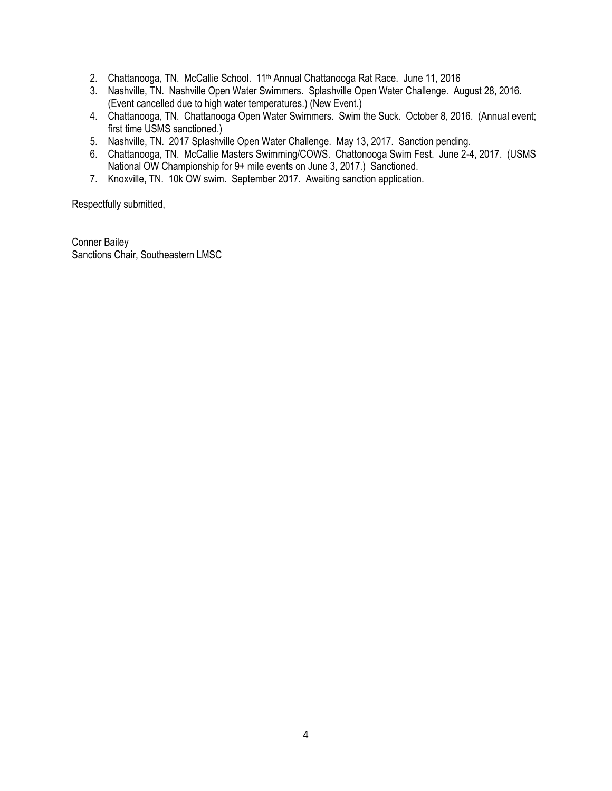- 2. Chattanooga, TN. McCallie School. 11<sup>th</sup> Annual Chattanooga Rat Race. June 11, 2016
- 3. Nashville, TN. Nashville Open Water Swimmers. Splashville Open Water Challenge. August 28, 2016. (Event cancelled due to high water temperatures.) (New Event.)
- 4. Chattanooga, TN. Chattanooga Open Water Swimmers. Swim the Suck. October 8, 2016. (Annual event; first time USMS sanctioned.)
- 5. Nashville, TN. 2017 Splashville Open Water Challenge. May 13, 2017. Sanction pending.
- 6. Chattanooga, TN. McCallie Masters Swimming/COWS. Chattonooga Swim Fest. June 2-4, 2017. (USMS National OW Championship for 9+ mile events on June 3, 2017.) Sanctioned.
- 7. Knoxville, TN. 10k OW swim. September 2017. Awaiting sanction application.

Respectfully submitted,

Conner Bailey Sanctions Chair, Southeastern LMSC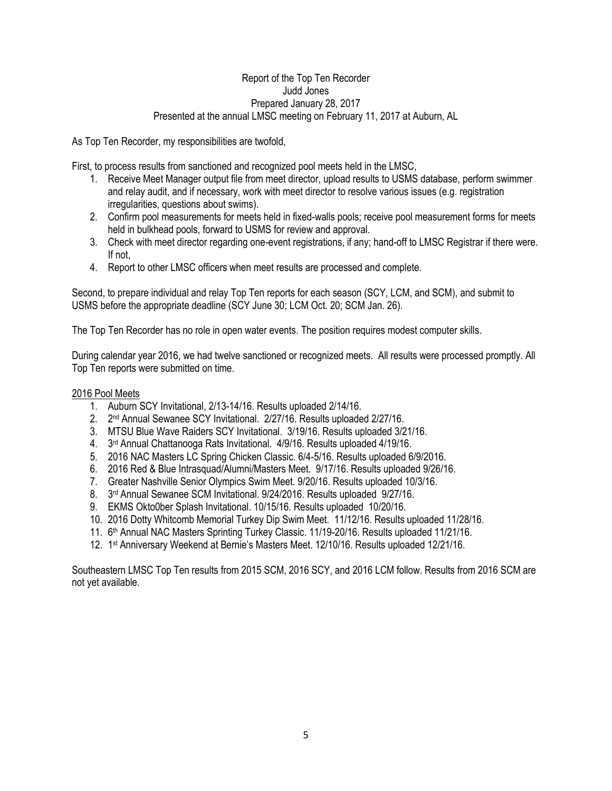## Report of the Top Ten Recorder Judd Jones Prepared January 28, 2017 Presented at the annual LMSC meeting on February 11, 2017 at Auburn, AL

As Top Ten Recorder, my responsibilities are twofold,

First, to process results from sanctioned and recognized pool meets held in the LMSC,

- 1. Receive Meet Manager output file from meet director, upload results to USMS database, perform swimmer and relay audit, and if necessary, work with meet director to resolve various issues (e.g. registration irregularities, questions about swims).
- 2. Confirm pool measurements for meets held in fixed-walls pools; receive pool measurement forms for meets held in bulkhead pools, forward to USMS for review and approval.
- 3. Check with meet director regarding one-event registrations, if any; hand-off to LMSC Registrar if there were. If not,
- 4. Report to other LMSC officers when meet results are processed and complete.

Second, to prepare individual and relay Top Ten reports for each season (SCY, LCM, and SCM), and submit to USMS before the appropriate deadline (SCY June 30; LCM Oct. 20; SCM Jan. 26).

The Top Ten Recorder has no role in open water events. The position requires modest computer skills.

During calendar year 2016, we had twelve sanctioned or recognized meets. All results were processed promptly. All Top Ten reports were submitted on time.

## 2016 Pool Meets

- 1. Auburn SCY Invitational, 2/13-14/16. Results uploaded 2/14/16.
- 2. 2<sup>nd</sup> Annual Sewanee SCY Invitational. 2/27/16. Results uploaded 2/27/16.
- 3. MTSU Blue Wave Raiders SCY Invitational. 3/19/16. Results uploaded 3/21/16.
- 4. 3 rd Annual Chattanooga Rats Invitational. 4/9/16. Results uploaded 4/19/16.
- 5. 2016 NAC Masters LC Spring Chicken Classic. 6/4-5/16. Results uploaded 6/9/2016.
- 6. 2016 Red & Blue Intrasquad/Alumni/Masters Meet. 9/17/16. Results uploaded 9/26/16.
- 7. Greater Nashville Senior Olympics Swim Meet. 9/20/16. Results uploaded 10/3/16.
- 8. 3 rd Annual Sewanee SCM Invitational. 9/24/2016. Results uploaded 9/27/16.
- 9. EKMS Okto0ber Splash Invitational. 10/15/16. Results uploaded 10/20/16.
- 10. 2016 Dotty Whitcomb Memorial Turkey Dip Swim Meet. 11/12/16. Results uploaded 11/28/16.
- 11. 6 th Annual NAC Masters Sprinting Turkey Classic. 11/19-20/16. Results uploaded 11/21/16.
- 12. 1 st Anniversary Weekend at Bernie's Masters Meet. 12/10/16. Results uploaded 12/21/16.

Southeastern LMSC Top Ten results from 2015 SCM, 2016 SCY, and 2016 LCM follow. Results from 2016 SCM are not yet available.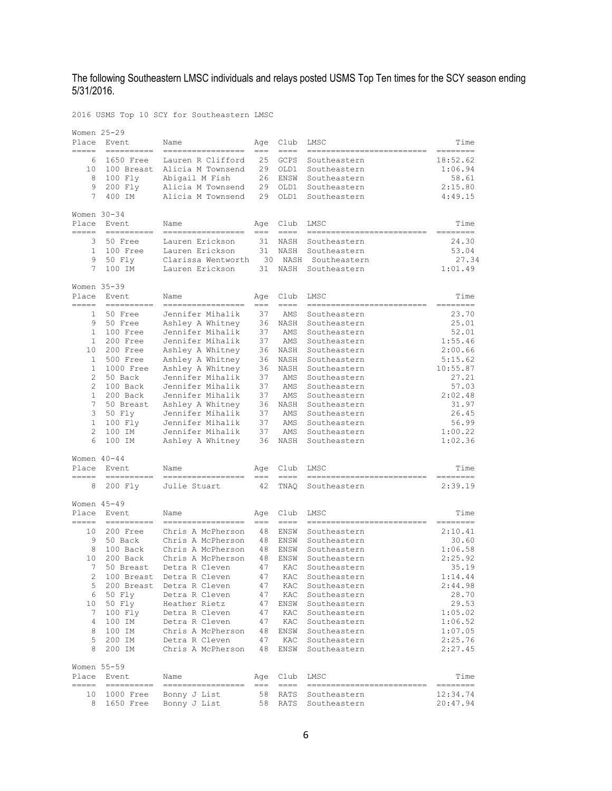#### The following Southeastern LMSC individuals and relays posted USMS Top Ten times for the SCY season ending 5/31/2016.

2016 USMS Top 10 SCY for Southeastern LMSC

| Place<br>===== | Women 25-29<br>Event<br>$\frac{1}{2}$                                                                                                                                                                                                                                                                                                                                                                                                                                                    | Name                                 | Age<br>$=$ $=$ | Club<br>====        | LMSC                               | Time             |
|----------------|------------------------------------------------------------------------------------------------------------------------------------------------------------------------------------------------------------------------------------------------------------------------------------------------------------------------------------------------------------------------------------------------------------------------------------------------------------------------------------------|--------------------------------------|----------------|---------------------|------------------------------------|------------------|
| 6              | 1650 Free                                                                                                                                                                                                                                                                                                                                                                                                                                                                                | Lauren R Clifford                    | 25             | GCPS                | Southeastern                       | 18:52.62         |
| 10             | 100 Breast                                                                                                                                                                                                                                                                                                                                                                                                                                                                               | Alicia M Townsend                    | 29             | OLD1                | Southeastern                       | 1:06.94          |
| 8              | 100 Fly                                                                                                                                                                                                                                                                                                                                                                                                                                                                                  | Abigail M Fish                       | 26             | ENSW                | Southeastern                       | 58.61            |
| 9              | 200 Fly                                                                                                                                                                                                                                                                                                                                                                                                                                                                                  | Alicia M Townsend                    | 29             | OLD1                | Southeastern                       | 2:15.80          |
| 7              | 400 IM                                                                                                                                                                                                                                                                                                                                                                                                                                                                                   | Alicia M Townsend                    | 29             | OLD1                | Southeastern                       | 4:49.15          |
| Women 30-34    |                                                                                                                                                                                                                                                                                                                                                                                                                                                                                          |                                      |                |                     |                                    |                  |
| Place<br>----- | Event<br>$=$ = = = = = = =                                                                                                                                                                                                                                                                                                                                                                                                                                                               | Name<br>---------                    | Age<br>$==$    | Club<br>$==-+$      | LMSC                               | Time<br>=====-   |
| 3              | 50 Free                                                                                                                                                                                                                                                                                                                                                                                                                                                                                  | Lauren Erickson                      | 31             | NASH                | Southeastern                       | 24.30            |
| $\mathbf{1}$   | 100 Free                                                                                                                                                                                                                                                                                                                                                                                                                                                                                 | Lauren Erickson                      | 31             | NASH                | Southeastern                       | 53.04            |
| 9              | 50 Fly                                                                                                                                                                                                                                                                                                                                                                                                                                                                                   | Clarissa Wentworth                   | 30             | NASH                | Southeastern                       | 27.34            |
| 7              | 100 IM                                                                                                                                                                                                                                                                                                                                                                                                                                                                                   | Lauren Erickson                      | 31             | NASH                | Southeastern                       | 1:01.49          |
|                | Women 35-39                                                                                                                                                                                                                                                                                                                                                                                                                                                                              |                                      |                |                     |                                    |                  |
| Place<br>===== | Event<br>$=$ $=$ $=$ $=$ $=$ $=$                                                                                                                                                                                                                                                                                                                                                                                                                                                         | Name                                 | Aqe<br>$==$    | Club<br>$=$ $=$ $=$ | LMSC                               | Time             |
| $\mathbf{1}$   | 50 Free                                                                                                                                                                                                                                                                                                                                                                                                                                                                                  | Jennifer Mihalik                     | 37             | AMS                 | Southeastern                       | 23.70            |
| 9              | 50 Free                                                                                                                                                                                                                                                                                                                                                                                                                                                                                  | Ashley A Whitney                     | 36             | NASH                | Southeastern                       | 25.01            |
| 1<br>1         | 100 Free<br>200 Free                                                                                                                                                                                                                                                                                                                                                                                                                                                                     | Jennifer Mihalik<br>Jennifer Mihalik | 37<br>37       | AMS<br>AMS          | Southeastern<br>Southeastern       | 52.01<br>1:55.46 |
| 10             | 200 Free                                                                                                                                                                                                                                                                                                                                                                                                                                                                                 | Ashley A Whitney                     | 36             | NASH                | Southeastern                       | 2:00.66          |
| 1              | 500 Free                                                                                                                                                                                                                                                                                                                                                                                                                                                                                 | Ashley A Whitney                     | 36             | NASH                | Southeastern                       | 5:15.62          |
| 1              | 1000 Free                                                                                                                                                                                                                                                                                                                                                                                                                                                                                | Ashley A Whitney                     | 36             | NASH                | Southeastern                       | 10:55.87         |
| $\overline{c}$ | 50 Back                                                                                                                                                                                                                                                                                                                                                                                                                                                                                  | Jennifer Mihalik                     | 37             | AMS                 | Southeastern                       | 27.21            |
| 2              | 100 Back                                                                                                                                                                                                                                                                                                                                                                                                                                                                                 | Jennifer Mihalik                     | 37             | AMS                 | Southeastern                       | 57.03            |
| 1              | 200 Back                                                                                                                                                                                                                                                                                                                                                                                                                                                                                 | Jennifer Mihalik                     | 37             | AMS                 | Southeastern                       | 2:02.48          |
| 7              | 50 Breast                                                                                                                                                                                                                                                                                                                                                                                                                                                                                | Ashley A Whitney                     | 36             | NASH                | Southeastern                       | 31.97            |
| 3              | 50 Fly                                                                                                                                                                                                                                                                                                                                                                                                                                                                                   | Jennifer Mihalik                     | 37             | AMS                 | Southeastern                       | 26.45            |
| 1              | 100 Fly                                                                                                                                                                                                                                                                                                                                                                                                                                                                                  | Jennifer Mihalik                     | 37             | AMS                 | Southeastern                       | 56.99            |
| $\overline{c}$ | 100 IM                                                                                                                                                                                                                                                                                                                                                                                                                                                                                   | Jennifer Mihalik                     | 37             | AMS                 | Southeastern                       | 1:00.22          |
| 6              | 100 IM                                                                                                                                                                                                                                                                                                                                                                                                                                                                                   | Ashley A Whitney                     | 36             | NASH                | Southeastern                       | 1:02.36          |
|                | Women $40 - 44$                                                                                                                                                                                                                                                                                                                                                                                                                                                                          |                                      |                |                     |                                    |                  |
| Place          | Event                                                                                                                                                                                                                                                                                                                                                                                                                                                                                    | Name                                 | Age            | Club                | LMSC                               | Time             |
| 8              | 200 Fly                                                                                                                                                                                                                                                                                                                                                                                                                                                                                  | Julie Stuart                         | 42             | TNAQ                | Southeastern                       | 2:39.19          |
|                | Women 45-49                                                                                                                                                                                                                                                                                                                                                                                                                                                                              |                                      |                |                     |                                    |                  |
| Place<br>====  | Event<br>$\frac{1}{1} \frac{1}{1} \frac{1}{1} \frac{1}{1} \frac{1}{1} \frac{1}{1} \frac{1}{1} \frac{1}{1} \frac{1}{1} \frac{1}{1} \frac{1}{1} \frac{1}{1} \frac{1}{1} \frac{1}{1} \frac{1}{1} \frac{1}{1} \frac{1}{1} \frac{1}{1} \frac{1}{1} \frac{1}{1} \frac{1}{1} \frac{1}{1} \frac{1}{1} \frac{1}{1} \frac{1}{1} \frac{1}{1} \frac{1}{1} \frac{1}{1} \frac{1}{1} \frac{1}{1} \frac{1}{1} \frac{$                                                                                    | Name                                 | Aqe<br>$==$    | Club<br>$=$ $=$ $=$ | LMSC                               | Time             |
| 10             | 200 Free                                                                                                                                                                                                                                                                                                                                                                                                                                                                                 | Chris A McPherson                    | 48             | ENSW                | Southeastern                       | 2:10.41          |
| 9              | 50 Back                                                                                                                                                                                                                                                                                                                                                                                                                                                                                  | Chris A McPherson                    | 48             | ENSW                | Southeastern                       | 30.60            |
| 8              | 100 Back                                                                                                                                                                                                                                                                                                                                                                                                                                                                                 | Chris A McPherson                    | 48             | ENSW                | Southeastern                       | 1:06.58          |
| 10             | 200 Back                                                                                                                                                                                                                                                                                                                                                                                                                                                                                 | Chris A McPherson                    | 48             | ENSW                | Southeastern                       | 2:25.92          |
| 7              | 50 Breast                                                                                                                                                                                                                                                                                                                                                                                                                                                                                | Detra R Cleven                       | 47             | KAC                 | Southeastern                       | 35.19            |
| 2              | 100 Breast                                                                                                                                                                                                                                                                                                                                                                                                                                                                               | Detra R Cleven                       | 47             | KAC                 | Southeastern                       | 1:14.44          |
| 5              | 200 Breast                                                                                                                                                                                                                                                                                                                                                                                                                                                                               | Detra R Cleven                       | 47             | KAC                 | Southeastern                       | 2:44.98          |
| 6<br>10        | 50 Fly<br>50 Fly                                                                                                                                                                                                                                                                                                                                                                                                                                                                         | Detra R Cleven<br>Heather Rietz      | 47<br>47       | KAC<br>ENSW         | Southeastern<br>Southeastern       | 28.70<br>29.53   |
| 7              | 100 Flv                                                                                                                                                                                                                                                                                                                                                                                                                                                                                  | Detra R Cleven                       | 47             | KAC                 | Southeastern                       | 1:05.02          |
| 4              | 100 IM                                                                                                                                                                                                                                                                                                                                                                                                                                                                                   | Detra R Cleven                       | 47             | KAC                 | Southeastern                       | 1:06.52          |
| 8              | 100 IM                                                                                                                                                                                                                                                                                                                                                                                                                                                                                   | Chris A McPherson                    | 48             | ENSW                | Southeastern                       | 1:07.05          |
| 5              | 200 IM                                                                                                                                                                                                                                                                                                                                                                                                                                                                                   | Detra R Cleven                       | 47             | KAC                 | Southeastern                       | 2:25.76          |
| 8              | 200 IM                                                                                                                                                                                                                                                                                                                                                                                                                                                                                   | Chris A McPherson                    | 48             | ENSW                | Southeastern                       | 2:27.45          |
|                | Women 55-59                                                                                                                                                                                                                                                                                                                                                                                                                                                                              |                                      |                |                     |                                    |                  |
| Place<br>----- | Event<br>$\begin{tabular}{lllllllllll} \multicolumn{2}{l}{} & \multicolumn{2}{l}{} & \multicolumn{2}{l}{} & \multicolumn{2}{l}{} & \multicolumn{2}{l}{} & \multicolumn{2}{l}{} & \multicolumn{2}{l}{} & \multicolumn{2}{l}{} & \multicolumn{2}{l}{} & \multicolumn{2}{l}{} & \multicolumn{2}{l}{} & \multicolumn{2}{l}{} & \multicolumn{2}{l}{} & \multicolumn{2}{l}{} & \multicolumn{2}{l}{} & \multicolumn{2}{l}{} & \multicolumn{2}{l}{} & \multicolumn{2}{l}{} & \multicolumn{2}{l}$ | Name<br>=================            | Age<br>$=$ $=$ | Club<br>$== == =$   | LMSC<br>-------------------------- | Time<br>======== |
| 10             | 1000 Free                                                                                                                                                                                                                                                                                                                                                                                                                                                                                | Bonny J List                         | 58             | RATS                | Southeastern                       | 12:34.74         |
| 8              | 1650 Free                                                                                                                                                                                                                                                                                                                                                                                                                                                                                | Bonny J List                         | 58             | RATS                | Southeastern                       | 20:47.94         |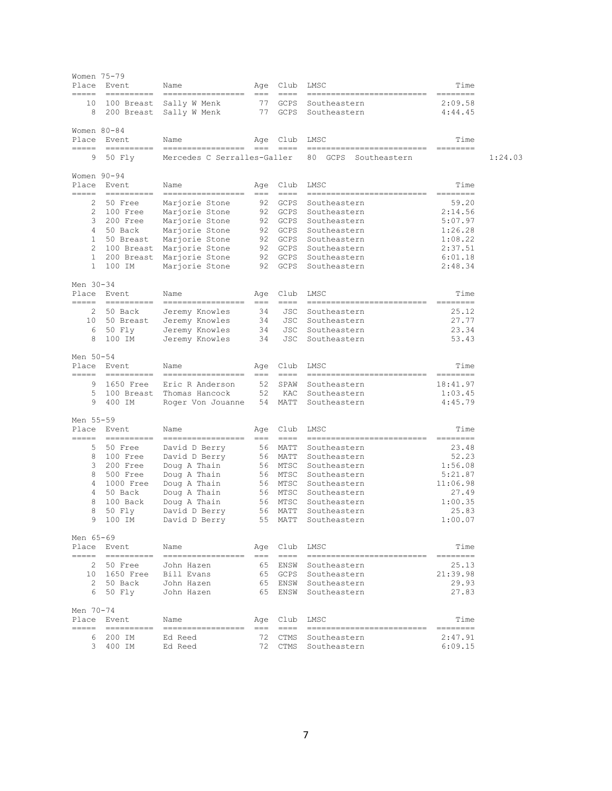| Women 75-79<br>Place<br>$=====$ | Event<br>==========       | Name<br>=================                         | Age<br>$===$  | Club<br>$\qquad \qquad == -$                                                                    | LMSC<br>===========================                       | Time<br>$=$ = = = = = = = =                                                                                                                                                                                                                                                                                                                                                                                                                                                              |         |
|---------------------------------|---------------------------|---------------------------------------------------|---------------|-------------------------------------------------------------------------------------------------|-----------------------------------------------------------|------------------------------------------------------------------------------------------------------------------------------------------------------------------------------------------------------------------------------------------------------------------------------------------------------------------------------------------------------------------------------------------------------------------------------------------------------------------------------------------|---------|
| 10<br>8                         | 100 Breast<br>200 Breast  | Sally W Menk<br>Sally W Menk                      | 77<br>77      | <b>GCPS</b><br>GCPS                                                                             | Southeastern<br>Southeastern                              | 2:09.58<br>4:44.45                                                                                                                                                                                                                                                                                                                                                                                                                                                                       |         |
| Women 80-84                     | Place Event               | Name                                              | Age           | Club                                                                                            | LMSC                                                      | Time                                                                                                                                                                                                                                                                                                                                                                                                                                                                                     |         |
| =====<br>9                      | ==========<br>50 Fly      | ==================<br>Mercedes C Serralles-Galler | $== =$        | $==-=-$                                                                                         | $=$ $=$<br>----------------<br>80<br>GCPS<br>Southeastern | ========                                                                                                                                                                                                                                                                                                                                                                                                                                                                                 | 1:24.03 |
| Women 90-94                     |                           |                                                   |               |                                                                                                 |                                                           |                                                                                                                                                                                                                                                                                                                                                                                                                                                                                          |         |
| Place<br>$=====$                | Event<br>$=$ ===========  | Name<br>------------------                        | Age<br>$== =$ | Club<br>$=$ $=$ $=$                                                                             | LMSC<br>--------------------------                        | Time<br>========                                                                                                                                                                                                                                                                                                                                                                                                                                                                         |         |
| 2                               | 50 Free                   | Marjorie Stone                                    | 92            | GCPS                                                                                            | Southeastern                                              | 59.20                                                                                                                                                                                                                                                                                                                                                                                                                                                                                    |         |
| 2                               | 100 Free                  | Marjorie Stone                                    |               | 92 GCPS                                                                                         | Southeastern                                              | 2:14.56                                                                                                                                                                                                                                                                                                                                                                                                                                                                                  |         |
| 3                               | 200 Free                  | Marjorie Stone                                    |               | 92 GCPS                                                                                         | Southeastern                                              | 5:07.97                                                                                                                                                                                                                                                                                                                                                                                                                                                                                  |         |
| 4                               | 50 Back                   | Marjorie Stone                                    | 92            | GCPS                                                                                            | Southeastern                                              | 1:26.28                                                                                                                                                                                                                                                                                                                                                                                                                                                                                  |         |
| 1                               | 50 Breast                 | Marjorie Stone                                    |               | 92 GCPS                                                                                         | Southeastern                                              | 1:08.22                                                                                                                                                                                                                                                                                                                                                                                                                                                                                  |         |
| 2                               | 100 Breast                | Marjorie Stone                                    | 92            | GCPS                                                                                            | Southeastern                                              | 2:37.51                                                                                                                                                                                                                                                                                                                                                                                                                                                                                  |         |
| $\mathbf{1}$                    | 200 Breast                | Marjorie Stone                                    | 92            | GCPS                                                                                            | Southeastern                                              | 6:01.18                                                                                                                                                                                                                                                                                                                                                                                                                                                                                  |         |
| 1                               | 100 IM                    | Marjorie Stone                                    | 92            | GCPS                                                                                            | Southeastern                                              | 2:48.34                                                                                                                                                                                                                                                                                                                                                                                                                                                                                  |         |
| Men 30-34                       |                           |                                                   |               |                                                                                                 |                                                           |                                                                                                                                                                                                                                                                                                                                                                                                                                                                                          |         |
| Place<br>=====                  | Event<br>$=$ ==========   | Name<br>-----------------                         | Age<br>$== =$ | Club<br>$\qquad \qquad == -$                                                                    | LMSC<br>===========================                       | Time<br>$=$ = = = = = = = =                                                                                                                                                                                                                                                                                                                                                                                                                                                              |         |
| 2                               | 50 Back                   | Jeremy Knowles                                    | 34            | JSC                                                                                             | Southeastern                                              | 25.12                                                                                                                                                                                                                                                                                                                                                                                                                                                                                    |         |
| 10                              | 50 Breast                 | Jeremy Knowles                                    | 34            | JSC                                                                                             | Southeastern                                              | 27.77                                                                                                                                                                                                                                                                                                                                                                                                                                                                                    |         |
| 6                               | 50 Fly                    | Jeremy Knowles                                    | 34            | JSC                                                                                             | Southeastern                                              | 23.34                                                                                                                                                                                                                                                                                                                                                                                                                                                                                    |         |
| 8                               | 100 IM                    | Jeremy Knowles                                    | 34            | JSC                                                                                             | Southeastern                                              | 53.43                                                                                                                                                                                                                                                                                                                                                                                                                                                                                    |         |
|                                 |                           |                                                   |               |                                                                                                 |                                                           |                                                                                                                                                                                                                                                                                                                                                                                                                                                                                          |         |
| Men 50-54                       |                           |                                                   |               |                                                                                                 |                                                           |                                                                                                                                                                                                                                                                                                                                                                                                                                                                                          |         |
| Place                           | Event<br>==========       | Name<br>------------------                        | Age<br>$==$   | Club<br>$====$                                                                                  | LMSC<br>----------------------------                      | Time<br>========                                                                                                                                                                                                                                                                                                                                                                                                                                                                         |         |
| 9                               | 1650 Free                 | Eric R Anderson                                   | 52            | SPAW                                                                                            | Southeastern                                              | 18:41.97                                                                                                                                                                                                                                                                                                                                                                                                                                                                                 |         |
| 5                               | 100 Breast                | Thomas Hancock                                    | 52            | KAC                                                                                             | Southeastern                                              | 1:03.45                                                                                                                                                                                                                                                                                                                                                                                                                                                                                  |         |
| 9                               | 400 IM                    | Roger Von Jouanne                                 | 54            | MATT                                                                                            | Southeastern                                              | 4:45.79                                                                                                                                                                                                                                                                                                                                                                                                                                                                                  |         |
| Men 55-59                       |                           |                                                   |               |                                                                                                 |                                                           |                                                                                                                                                                                                                                                                                                                                                                                                                                                                                          |         |
| Place                           | Event                     | Name                                              | Age           | Club                                                                                            | LMSC                                                      | Time                                                                                                                                                                                                                                                                                                                                                                                                                                                                                     |         |
| =====                           | $=$ ==========            | ==================                                | $===$         | $\qquad \qquad == -$                                                                            | --------------------------                                | $\begin{tabular}{ll} \multicolumn{3}{l}{} & \multicolumn{3}{l}{} & \multicolumn{3}{l}{} \\ \multicolumn{3}{l}{} & \multicolumn{3}{l}{} & \multicolumn{3}{l}{} \\ \multicolumn{3}{l}{} & \multicolumn{3}{l}{} & \multicolumn{3}{l}{} \\ \multicolumn{3}{l}{} & \multicolumn{3}{l}{} & \multicolumn{3}{l}{} \\ \multicolumn{3}{l}{} & \multicolumn{3}{l}{} & \multicolumn{3}{l}{} \\ \multicolumn{3}{l}{} & \multicolumn{3}{l}{} & \multicolumn{3}{l}{} \\ \multicolumn{3}{l}{} & \multic$ |         |
| 5                               | 50 Free                   | David D Berry                                     | 56            | MATT                                                                                            | Southeastern                                              | 23.48                                                                                                                                                                                                                                                                                                                                                                                                                                                                                    |         |
| 8                               | 100 Free                  | David D Berry                                     | 56            | MATT                                                                                            | Southeastern                                              | 52.23                                                                                                                                                                                                                                                                                                                                                                                                                                                                                    |         |
| 3                               | 200 Free                  | Doug A Thain                                      | 56            | MTSC                                                                                            | Southeastern                                              | 1:56.08                                                                                                                                                                                                                                                                                                                                                                                                                                                                                  |         |
| 8                               | 500 Free                  | Doug A Thain                                      | 56            | MTSC                                                                                            | Southeastern                                              | 5:21.87                                                                                                                                                                                                                                                                                                                                                                                                                                                                                  |         |
| 4                               | 1000 Free                 | Doug A Thain                                      | 56            | MTSC                                                                                            | Southeastern                                              | 11:06.98                                                                                                                                                                                                                                                                                                                                                                                                                                                                                 |         |
| 4                               | 50 Back                   | Doug A Thain                                      | 56            | MTSC                                                                                            | Southeastern                                              | 27.49                                                                                                                                                                                                                                                                                                                                                                                                                                                                                    |         |
| 8                               | 100 Back                  | Doug A Thain                                      | 56            | MTSC                                                                                            | Southeastern                                              | 1:00.35                                                                                                                                                                                                                                                                                                                                                                                                                                                                                  |         |
| 8                               | 50 Fly                    | David D Berry                                     | 56            | MATT                                                                                            | Southeastern                                              | 25.83                                                                                                                                                                                                                                                                                                                                                                                                                                                                                    |         |
| 9                               | 100 IM                    | David D Berry                                     |               | 55 MATT                                                                                         | Southeastern                                              | 1:00.07                                                                                                                                                                                                                                                                                                                                                                                                                                                                                  |         |
| Men 65-69                       |                           |                                                   |               |                                                                                                 |                                                           |                                                                                                                                                                                                                                                                                                                                                                                                                                                                                          |         |
|                                 | Place Event               | Name                                              |               | Age Club LMSC                                                                                   |                                                           | Time                                                                                                                                                                                                                                                                                                                                                                                                                                                                                     |         |
|                                 | 2 50 Free                 |                                                   |               | === ====                                                                                        | --------------------------                                | $\begin{array}{cccccccccc} = & = & = & = & = & = & = & = & \end{array}$<br>25.13                                                                                                                                                                                                                                                                                                                                                                                                         |         |
|                                 |                           | John Hazen                                        |               |                                                                                                 | 65 ENSW Southeastern                                      |                                                                                                                                                                                                                                                                                                                                                                                                                                                                                          |         |
|                                 |                           | 10 1650 Free Bill Evans                           |               |                                                                                                 | 65 GCPS Southeastern                                      | 21:39.98                                                                                                                                                                                                                                                                                                                                                                                                                                                                                 |         |
|                                 | 2 50 Back                 | John Hazen                                        |               |                                                                                                 | 65 ENSW Southeastern                                      | 29.93                                                                                                                                                                                                                                                                                                                                                                                                                                                                                    |         |
| 6                               | 50 Fly                    | John Hazen                                        |               |                                                                                                 | 65 ENSW Southeastern                                      | 27.83                                                                                                                                                                                                                                                                                                                                                                                                                                                                                    |         |
| Men 70-74                       |                           |                                                   |               |                                                                                                 |                                                           |                                                                                                                                                                                                                                                                                                                                                                                                                                                                                          |         |
| -----                           | Place Event<br>========== | Name<br>==================                        |               | Age Club LMSC<br>$\qquad \qquad \doteq \qquad \qquad \doteq \qquad \qquad \doteq \qquad \qquad$ |                                                           | Time                                                                                                                                                                                                                                                                                                                                                                                                                                                                                     |         |
| 6                               | 200 IM                    | Ed Reed                                           |               | 72 CTMS                                                                                         | Southeastern                                              | 2:47.91                                                                                                                                                                                                                                                                                                                                                                                                                                                                                  |         |
|                                 | 3 400 IM                  | Ed Reed                                           |               |                                                                                                 | 72 CTMS Southeastern                                      | 6:09.15                                                                                                                                                                                                                                                                                                                                                                                                                                                                                  |         |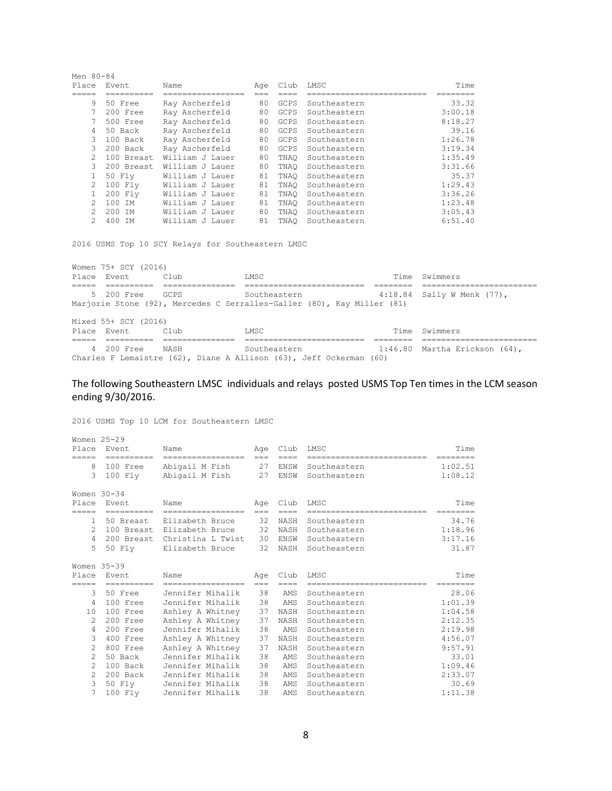| Men 80-84      |                               |                 |     |             |              |         |
|----------------|-------------------------------|-----------------|-----|-------------|--------------|---------|
| Place          | Event                         | Name            | Age | Club        | LMSC         | Time    |
|                |                               | -------------   |     |             |              |         |
| 9              | 50 Free                       | Ray Ascherfeld  | 80  | <b>GCPS</b> | Southeastern | 33.32   |
|                | 200 Free                      | Ray Ascherfeld  | 80  | <b>GCPS</b> | Southeastern | 3:00.18 |
|                | 500 Free                      | Ray Ascherfeld  | 80  | <b>GCPS</b> | Southeastern | 8:18.27 |
| 4              | 50 Back                       | Ray Ascherfeld  | 80  | <b>GCPS</b> | Southeastern | 39.16   |
| 3              | 100 Back                      | Ray Ascherfeld  | 80  | <b>GCPS</b> | Southeastern | 1:26.78 |
| 3              | 200 Back                      | Ray Ascherfeld  | 80  | <b>GCPS</b> | Southeastern | 3:19.34 |
| $\mathfrak{D}$ | 100 Breast                    | William J Lauer | 80  | TNAO        | Southeastern | 1:35.49 |
| $\mathcal{L}$  | 200 Breast                    | William J Lauer | 80  | TNAO        | Southeastern | 3:31.66 |
|                | 50 Fly                        | William J Lauer | 81  | TNAO        | Southeastern | 35.37   |
| $\mathcal{L}$  | 100 Fly                       | William J Lauer | 81  | TNAO        | Southeastern | 1:29.43 |
|                | 200 Flv                       | William J Lauer | 81  | TNAO        | Southeastern | 3:36.26 |
| $\mathfrak{D}$ | 100 <sub>1</sub><br><b>TM</b> | William J Lauer | 81  | TNAO        | Southeastern | 1:23.48 |
| $\mathfrak{D}$ | 200<br>TM.                    | William J Lauer | 80  | TNAO        | Southeastern | 3:05.43 |
| $\mathcal{P}$  | 400<br><b>TM</b>              | William J Lauer | 81  | TNAO        | Southeastern | 6:51.40 |

2016 USMS Top 10 SCY Relays for Southeastern LMSC

Women 75+ SCY (2016) Place Event Club LMSC LMSC Time Swimmers ===== ========== =============== ========================= ======== ======================== 5 200 Free GCPS Southeastern 4:18.84 Sally W Menk (77), Marjorie Stone (92), Mercedes C Serralles-Galler (80), Kay Miller (81) Mixed 55+ SCY (2016) Place Event Club LMSC LMSC Time Swimmers ===== ========== =============== ========================= ======== ======================== 4 200 Free NASH Southeastern 1:46.80 Martha Erickson (64), Charles F Lemaistre (62), Diane A Allison (63), Jeff Ockerman (60)

#### The following Southeastern LMSC individuals and relays posted USMS Top Ten times in the LCM season ending 9/30/2016.

2016 USMS Top 10 LCM for Southeastern LMSC

| Women 25-29<br>Place | <b>Fvent</b> | Name                         | Age         | Club        | LMSC                        | Time      |
|----------------------|--------------|------------------------------|-------------|-------------|-----------------------------|-----------|
| =====                | ==========   | =================            | $=$ $=$ $=$ | $=$ $=$ $=$ | ==========================  | ========  |
| 8                    | 100 Free     | Abigail M Fish               | 27          | ENSW        | Southeastern                | 1:02.51   |
| 3                    | 100 Flv      | Abigail M Fish               | 27          | ENSW        | Southeastern                | 1:08.12   |
| Women $30-34$        |              |                              |             |             |                             |           |
| Place                | Event        | Name                         | Age         | Club        | LMSC                        | Time      |
| =====                | ==========   | =================            | $===$       |             | ==========================  | --------- |
| $\mathbf{1}$         | 50 Breast    | Elizabeth Bruce              | 32          | NASH        | Southeastern                | 34.76     |
| $\mathcal{L}$        |              | 100 Breast Elizabeth Bruce   | 32          | NASH        | Southeastern                | 1:18.96   |
| 4                    |              | 200 Breast Christina L Twist | 30          | ENSW        | Southeastern                | 3:17.16   |
| 5                    | 50 Fly       | Elizabeth Bruce              | 32          | NASH        | Southeastern                | 31.87     |
| Women 35-39          |              |                              |             |             |                             |           |
| Place                | Event        | Name                         | Age         | Club        | LMSC                        | Time      |
| =====                | ==========   | ==================           | $===$       | $====$      | --------------------------- | ========  |
| 3                    | 50 Free      | Jennifer Mihalik             | 38          | AMS         | Southeastern                | 28.06     |
| 4                    | 100 Free     | Jennifer Mihalik             | 38          | AMS         | Southeastern                | 1:01.39   |
| 10                   | 100 Free     | Ashley A Whitney             | 37          | NASH        | Southeastern                | 1:04.58   |
| $\mathfrak{D}$       | 200 Free     | Ashley A Whitney             | 37          | NASH        | Southeastern                | 2:12.35   |
| $\overline{4}$       | $200$ Free   | Jennifer Mihalik             | 38          | AMS         | Southeastern                | 2:19.98   |
| 3                    | 400 Free     | Ashley A Whitney             | 37          | NASH        | Southeastern                | 4:56.07   |
| $\overline{c}$       | 800 Free     | Ashley A Whitney             | 37          | NASH        | Southeastern                | 9:57.91   |
| $\mathfrak{D}$       | 50 Back      | Jennifer Mihalik             | 38          | AMS         | Southeastern                | 33.01     |
| $\mathfrak{D}$       | 100 Back     | Jennifer Mihalik             | 38          | AMS         | Southeastern                | 1:09.46   |
| $\overline{c}$       | 200 Back     | Jennifer Mihalik             | 38          | AMS         | Southeastern                | 2:33.07   |
| 3                    | 50 Fly       | Jennifer Mihalik             | 38          | AMS         | Southeastern                | 30.69     |
| 7                    | 100 Flv      | Jennifer Mihalik             | 38          | AMS         | Southeastern                | 1:11.38   |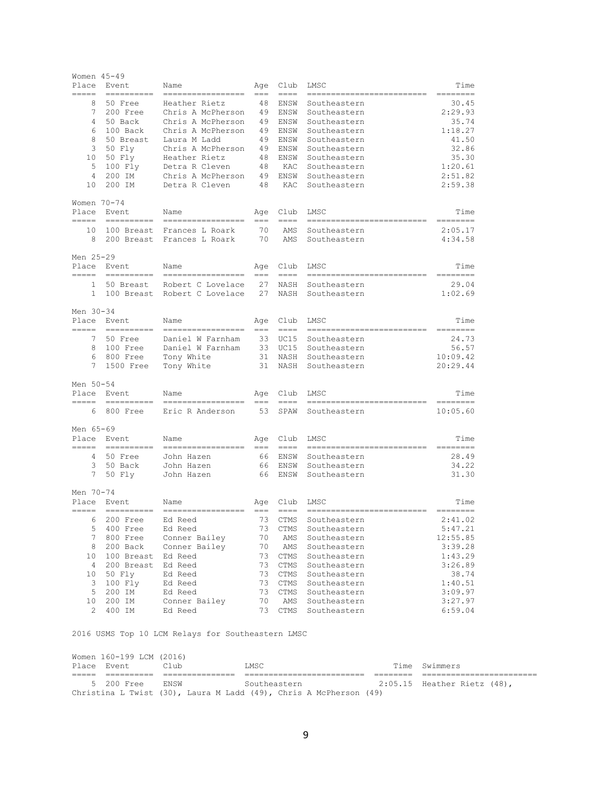| Women 45-49<br>Place | Event                                                                                                                                                                                                                                                                                                                                                                                                                                                                                             | Name                                    | Age                | Club                         | LMSC                                       | Time                                                                                                                                                                                                                                                                                                                                                                                                                                                                                           |
|----------------------|---------------------------------------------------------------------------------------------------------------------------------------------------------------------------------------------------------------------------------------------------------------------------------------------------------------------------------------------------------------------------------------------------------------------------------------------------------------------------------------------------|-----------------------------------------|--------------------|------------------------------|--------------------------------------------|------------------------------------------------------------------------------------------------------------------------------------------------------------------------------------------------------------------------------------------------------------------------------------------------------------------------------------------------------------------------------------------------------------------------------------------------------------------------------------------------|
| -----<br>8           | $\begin{array}{cccccccccc} \multicolumn{2}{c}{} & \multicolumn{2}{c}{} & \multicolumn{2}{c}{} & \multicolumn{2}{c}{} & \multicolumn{2}{c}{} & \multicolumn{2}{c}{} & \multicolumn{2}{c}{} & \multicolumn{2}{c}{} & \multicolumn{2}{c}{} & \multicolumn{2}{c}{} & \multicolumn{2}{c}{} & \multicolumn{2}{c}{} & \multicolumn{2}{c}{} & \multicolumn{2}{c}{} & \multicolumn{2}{c}{} & \multicolumn{2}{c}{} & \multicolumn{2}{c}{} & \multicolumn{2}{c}{} & \multicolumn{2}{c}{} & \mult$<br>50 Free | ------------------<br>Heather Rietz     | $===$<br>48        | $==-+$<br>ENSW               | --------------------------<br>Southeastern | $=$ $=$ $=$ $=$<br>$=$ $=$ $=$<br>30.45                                                                                                                                                                                                                                                                                                                                                                                                                                                        |
| 7                    | 200 Free                                                                                                                                                                                                                                                                                                                                                                                                                                                                                          | Chris A McPherson                       |                    | 49 ENSW                      | Southeastern                               | 2:29.93                                                                                                                                                                                                                                                                                                                                                                                                                                                                                        |
| $4\overline{ }$      | 50 Back                                                                                                                                                                                                                                                                                                                                                                                                                                                                                           | Chris A McPherson                       | 49                 | ENSW                         | Southeastern                               | 35.74                                                                                                                                                                                                                                                                                                                                                                                                                                                                                          |
| 6                    | 100 Back                                                                                                                                                                                                                                                                                                                                                                                                                                                                                          | Chris A McPherson                       | 49                 | ENSW                         | Southeastern                               | 1:18.27                                                                                                                                                                                                                                                                                                                                                                                                                                                                                        |
| 8                    | 50 Breast                                                                                                                                                                                                                                                                                                                                                                                                                                                                                         | Laura M Ladd                            | 49                 | ENSW                         | Southeastern                               | 41.50                                                                                                                                                                                                                                                                                                                                                                                                                                                                                          |
| 3                    | 50 Fly                                                                                                                                                                                                                                                                                                                                                                                                                                                                                            | Chris A McPherson                       | 49                 | ENSW                         | Southeastern                               | 32.86                                                                                                                                                                                                                                                                                                                                                                                                                                                                                          |
| 10                   | 50 Fly                                                                                                                                                                                                                                                                                                                                                                                                                                                                                            | Heather Rietz                           | 48                 | ENSW                         | Southeastern                               | 35.30                                                                                                                                                                                                                                                                                                                                                                                                                                                                                          |
| 5                    | 100 Fly                                                                                                                                                                                                                                                                                                                                                                                                                                                                                           | Detra R Cleven                          | 48                 | KAC                          | Southeastern                               | 1:20.61                                                                                                                                                                                                                                                                                                                                                                                                                                                                                        |
| 4                    | 200 IM                                                                                                                                                                                                                                                                                                                                                                                                                                                                                            | Chris A McPherson                       |                    | 49 ENSW                      | Southeastern                               | 2:51.82                                                                                                                                                                                                                                                                                                                                                                                                                                                                                        |
| 10                   | 200 IM                                                                                                                                                                                                                                                                                                                                                                                                                                                                                            | Detra R Cleven                          | 48                 | KAC                          | Southeastern                               | 2:59.38                                                                                                                                                                                                                                                                                                                                                                                                                                                                                        |
| Women 70-74          |                                                                                                                                                                                                                                                                                                                                                                                                                                                                                                   |                                         |                    |                              |                                            |                                                                                                                                                                                                                                                                                                                                                                                                                                                                                                |
| Place<br>-----       | Event<br>==========                                                                                                                                                                                                                                                                                                                                                                                                                                                                               | Name<br>=================               | Age<br>$===$       | Club<br>$= = = =$            | LMSC<br>----------------                   | Time<br>========                                                                                                                                                                                                                                                                                                                                                                                                                                                                               |
|                      |                                                                                                                                                                                                                                                                                                                                                                                                                                                                                                   | 10 100 Breast Frances L Roark           | 70                 | AMS                          | Southeastern                               | 2:05.17                                                                                                                                                                                                                                                                                                                                                                                                                                                                                        |
|                      |                                                                                                                                                                                                                                                                                                                                                                                                                                                                                                   | 8 200 Breast Frances L Roark            | 70                 | AMS                          | Southeastern                               | 4:34.58                                                                                                                                                                                                                                                                                                                                                                                                                                                                                        |
| Men 25-29<br>Place   | Event                                                                                                                                                                                                                                                                                                                                                                                                                                                                                             | Name                                    | Age                | Club                         | LMSC                                       | Time                                                                                                                                                                                                                                                                                                                                                                                                                                                                                           |
|                      | ----- ----------<br>1 50 Breast                                                                                                                                                                                                                                                                                                                                                                                                                                                                   | ------------------<br>Robert C Lovelace | $= == -$<br>27     | $=$ $=$ $=$<br>NASH          | --------------------------<br>Southeastern | $=$ = = = = = = =<br>29.04                                                                                                                                                                                                                                                                                                                                                                                                                                                                     |
| $\mathbf{1}$         |                                                                                                                                                                                                                                                                                                                                                                                                                                                                                                   | 100 Breast Robert C Lovelace            |                    | 27 NASH                      | Southeastern                               | 1:02.69                                                                                                                                                                                                                                                                                                                                                                                                                                                                                        |
|                      |                                                                                                                                                                                                                                                                                                                                                                                                                                                                                                   |                                         |                    |                              |                                            |                                                                                                                                                                                                                                                                                                                                                                                                                                                                                                |
| Men 30-34            | Place Event                                                                                                                                                                                                                                                                                                                                                                                                                                                                                       | Name                                    | Age                | Club                         | LMSC                                       | Time                                                                                                                                                                                                                                                                                                                                                                                                                                                                                           |
|                      | ----- ---------                                                                                                                                                                                                                                                                                                                                                                                                                                                                                   | =================                       | $=$ $=$            | -----                        | --------------------------                 | $=$ = = = = = = = =                                                                                                                                                                                                                                                                                                                                                                                                                                                                            |
|                      | 7 50 Free                                                                                                                                                                                                                                                                                                                                                                                                                                                                                         | Daniel W Farnham                        |                    | 33 UC15                      | Southeastern                               | 24.73                                                                                                                                                                                                                                                                                                                                                                                                                                                                                          |
|                      | 8 100 Free                                                                                                                                                                                                                                                                                                                                                                                                                                                                                        | Daniel W Farnham                        |                    | 33 UC15                      | Southeastern                               | 56.57                                                                                                                                                                                                                                                                                                                                                                                                                                                                                          |
|                      | 6 800 Free                                                                                                                                                                                                                                                                                                                                                                                                                                                                                        | Tony White                              |                    | 31 NASH                      | Southeastern                               | 10:09.42                                                                                                                                                                                                                                                                                                                                                                                                                                                                                       |
| $7^{\circ}$          | 1500 Free                                                                                                                                                                                                                                                                                                                                                                                                                                                                                         | Tony White                              |                    | 31 NASH                      | Southeastern                               | 20:29.44                                                                                                                                                                                                                                                                                                                                                                                                                                                                                       |
| Men 50-54            |                                                                                                                                                                                                                                                                                                                                                                                                                                                                                                   |                                         |                    |                              |                                            |                                                                                                                                                                                                                                                                                                                                                                                                                                                                                                |
| =====                | Place Event<br>$=$ ==========                                                                                                                                                                                                                                                                                                                                                                                                                                                                     | Name<br>------------------              | Age<br>$===$       | Club<br>$==-=$               | LMSC<br>==========================         | Time<br>$=$ = = = = = = = =                                                                                                                                                                                                                                                                                                                                                                                                                                                                    |
| 6                    |                                                                                                                                                                                                                                                                                                                                                                                                                                                                                                   | 800 Free Eric R Anderson                | 53                 | SPAW                         | Southeastern                               | 10:05.60                                                                                                                                                                                                                                                                                                                                                                                                                                                                                       |
| Men 65-69            |                                                                                                                                                                                                                                                                                                                                                                                                                                                                                                   |                                         |                    |                              |                                            |                                                                                                                                                                                                                                                                                                                                                                                                                                                                                                |
|                      | Place Event                                                                                                                                                                                                                                                                                                                                                                                                                                                                                       | Name<br>=================               | $== =$             | Age Club<br>-----            | LMSC<br>==========================         | Time<br>========                                                                                                                                                                                                                                                                                                                                                                                                                                                                               |
|                      | 4 50 Free                                                                                                                                                                                                                                                                                                                                                                                                                                                                                         | John Hazen                              |                    | 66 ENSW                      | Southeastern                               | 28.49                                                                                                                                                                                                                                                                                                                                                                                                                                                                                          |
|                      | 3 50 Back                                                                                                                                                                                                                                                                                                                                                                                                                                                                                         | John Hazen                              |                    | 66 ENSW                      | Southeastern                               | 34.22                                                                                                                                                                                                                                                                                                                                                                                                                                                                                          |
|                      | 7 50 Fly                                                                                                                                                                                                                                                                                                                                                                                                                                                                                          | John Hazen                              |                    | 66 ENSW                      | Southeastern                               | 31.30                                                                                                                                                                                                                                                                                                                                                                                                                                                                                          |
| Men 70-74            |                                                                                                                                                                                                                                                                                                                                                                                                                                                                                                   |                                         |                    |                              |                                            |                                                                                                                                                                                                                                                                                                                                                                                                                                                                                                |
|                      | Place Event<br>----- ----------                                                                                                                                                                                                                                                                                                                                                                                                                                                                   | Name<br>------------------              | Aqe<br>$=$ $=$ $=$ | Club<br>$\qquad \qquad == -$ | LMSC<br>===========================        | Time<br>$\begin{array}{cccccccccc} \multicolumn{2}{c}{} & \multicolumn{2}{c}{} & \multicolumn{2}{c}{} & \multicolumn{2}{c}{} & \multicolumn{2}{c}{} & \multicolumn{2}{c}{} & \multicolumn{2}{c}{} & \multicolumn{2}{c}{} & \multicolumn{2}{c}{} & \multicolumn{2}{c}{} & \multicolumn{2}{c}{} & \multicolumn{2}{c}{} & \multicolumn{2}{c}{} & \multicolumn{2}{c}{} & \multicolumn{2}{c}{} & \multicolumn{2}{c}{} & \multicolumn{2}{c}{} & \multicolumn{2}{c}{} & \multicolumn{2}{c}{} & \mult$ |
| 6                    | 200 Free                                                                                                                                                                                                                                                                                                                                                                                                                                                                                          | Ed Reed                                 | 73                 | CTMS                         | Southeastern                               | 2:41.02                                                                                                                                                                                                                                                                                                                                                                                                                                                                                        |
| 5                    | 400 Free                                                                                                                                                                                                                                                                                                                                                                                                                                                                                          | Ed Reed                                 | 73                 | CTMS                         | Southeastern                               | 5:47.21                                                                                                                                                                                                                                                                                                                                                                                                                                                                                        |
| 7                    | 800 Free                                                                                                                                                                                                                                                                                                                                                                                                                                                                                          | Conner Bailey                           | 70                 | AMS                          | Southeastern                               | 12:55.85                                                                                                                                                                                                                                                                                                                                                                                                                                                                                       |
| 8                    | 200 Back                                                                                                                                                                                                                                                                                                                                                                                                                                                                                          | Conner Bailey                           | 70                 | AMS                          | Southeastern                               | 3:39.28                                                                                                                                                                                                                                                                                                                                                                                                                                                                                        |
| 10                   | 100 Breast Ed Reed                                                                                                                                                                                                                                                                                                                                                                                                                                                                                |                                         | 73                 | CTMS                         | Southeastern                               | 1:43.29                                                                                                                                                                                                                                                                                                                                                                                                                                                                                        |
| 4                    | 200 Breast                                                                                                                                                                                                                                                                                                                                                                                                                                                                                        | Ed Reed                                 | 73                 | CTMS                         | Southeastern                               | 3:26.89                                                                                                                                                                                                                                                                                                                                                                                                                                                                                        |
| 10                   | 50 Fly                                                                                                                                                                                                                                                                                                                                                                                                                                                                                            | Ed Reed                                 | 73                 | CTMS                         | Southeastern                               | 38.74                                                                                                                                                                                                                                                                                                                                                                                                                                                                                          |
| 3<br>5               | $100$ $Fly$<br>200 IM                                                                                                                                                                                                                                                                                                                                                                                                                                                                             | Ed Reed<br>Ed Reed                      | 73<br>73           | CTMS                         | Southeastern<br>Southeastern               | 1:40.51<br>3:09.97                                                                                                                                                                                                                                                                                                                                                                                                                                                                             |
| 10                   | 200 IM                                                                                                                                                                                                                                                                                                                                                                                                                                                                                            | Conner Bailey                           | 70                 | CTMS<br>AMS                  | Southeastern                               | 3:27.97                                                                                                                                                                                                                                                                                                                                                                                                                                                                                        |
| 2                    | 400 IM                                                                                                                                                                                                                                                                                                                                                                                                                                                                                            | Ed Reed                                 | 73                 | CTMS                         | Southeastern                               | 6:59.04                                                                                                                                                                                                                                                                                                                                                                                                                                                                                        |
|                      |                                                                                                                                                                                                                                                                                                                                                                                                                                                                                                   |                                         |                    |                              |                                            |                                                                                                                                                                                                                                                                                                                                                                                                                                                                                                |

2016 USMS Top 10 LCM Relays for Southeastern LMSC

| Women 160-199 LCM (2016)<br>Place Event | Club.       | LMSC                                                              | Time Swimmers               |
|-----------------------------------------|-------------|-------------------------------------------------------------------|-----------------------------|
|                                         |             |                                                                   |                             |
| 5 200 Free                              | <b>ENSW</b> | Southeastern                                                      | 2:05.15 Heather Rietz (48), |
|                                         |             | Christina L Twist (30), Laura M Ladd (49), Chris A McPherson (49) |                             |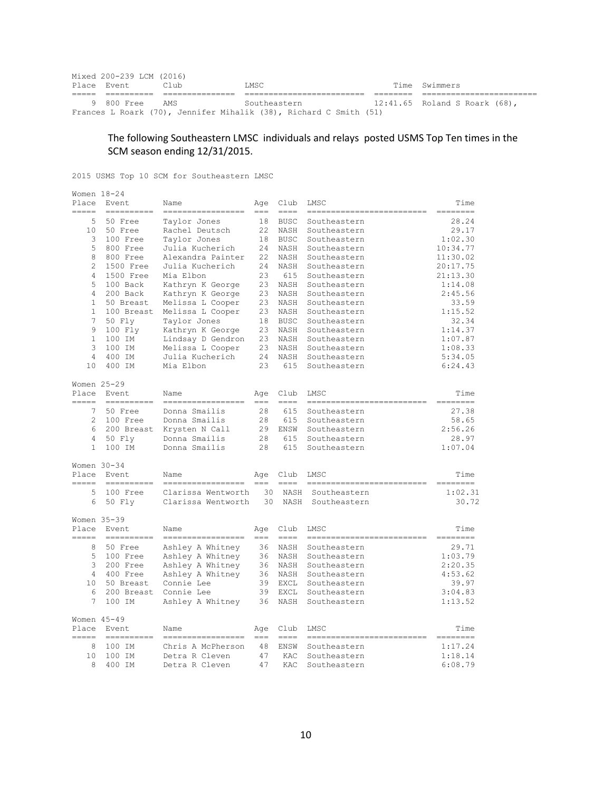| Mixed 200-239 LCM (2016) |       |                                                                   |                               |
|--------------------------|-------|-------------------------------------------------------------------|-------------------------------|
| Place Event              | Club. | T.MSC                                                             | Time Swimmers                 |
|                          |       |                                                                   |                               |
| 9 800 Free               | AMS   | Southeastern                                                      | 12:41.65 Roland S Roark (68), |
|                          |       | Frances L Roark (70), Jennifer Mihalik (38), Richard C Smith (51) |                               |

# The following Southeastern LMSC individuals and relays posted USMS Top Ten times in the SCM season ending 12/31/2015.

2015 USMS Top 10 SCM for Southeastern LMSC

| Women 18-24<br>Place<br>----- | Event<br>==========                                                                                                                                                                                                                                                                                                                                                                                                                                                                              | Name<br>==================               | Aqe<br>$===$   | Club<br>$= = = =$ | LMSC<br>--------------------------           | Time<br>========    |
|-------------------------------|--------------------------------------------------------------------------------------------------------------------------------------------------------------------------------------------------------------------------------------------------------------------------------------------------------------------------------------------------------------------------------------------------------------------------------------------------------------------------------------------------|------------------------------------------|----------------|-------------------|----------------------------------------------|---------------------|
| 5.                            | 50 Free                                                                                                                                                                                                                                                                                                                                                                                                                                                                                          | Taylor Jones                             | 18             | <b>BUSC</b>       | Southeastern                                 | 28.24               |
| 10                            | 50 Free                                                                                                                                                                                                                                                                                                                                                                                                                                                                                          | Rachel Deutsch                           | 22             | NASH              | Southeastern                                 | 29.17               |
| 3                             | 100 Free                                                                                                                                                                                                                                                                                                                                                                                                                                                                                         | Taylor Jones                             | 18             | <b>BUSC</b>       | Southeastern                                 | 1:02.30             |
| 5                             | 800 Free                                                                                                                                                                                                                                                                                                                                                                                                                                                                                         | Julia Kucherich                          | 24             | NASH              | Southeastern                                 | 10:34.77            |
| 8                             | 800 Free                                                                                                                                                                                                                                                                                                                                                                                                                                                                                         | Alexandra Painter                        | 22             | NASH              | Southeastern                                 | 11:30.02            |
| 2                             | 1500 Free                                                                                                                                                                                                                                                                                                                                                                                                                                                                                        | Julia Kucherich                          | 24             | NASH              | Southeastern                                 | 20:17.75            |
| $\overline{4}$                | 1500 Free                                                                                                                                                                                                                                                                                                                                                                                                                                                                                        | Mia Elbon                                | 23             | 615               | Southeastern                                 | 21:13.30            |
| 5                             | 100 Back                                                                                                                                                                                                                                                                                                                                                                                                                                                                                         | Kathryn K George                         | 23             | NASH              | Southeastern                                 | 1:14.08             |
| $\overline{4}$                | 200 Back                                                                                                                                                                                                                                                                                                                                                                                                                                                                                         | Kathryn K George                         | 23             | NASH              | Southeastern                                 | 2:45.56             |
| $\mathbf{1}$                  | 50 Breast                                                                                                                                                                                                                                                                                                                                                                                                                                                                                        | Melissa L Cooper                         | 23             | NASH              | Southeastern                                 | 33.59               |
| $\mathbf{1}$                  | 100 Breast                                                                                                                                                                                                                                                                                                                                                                                                                                                                                       | Melissa L Cooper                         | 23             | NASH              | Southeastern                                 | 1:15.52             |
| 7                             | 50 Fly                                                                                                                                                                                                                                                                                                                                                                                                                                                                                           | Taylor Jones                             | 18             | <b>BUSC</b>       | Southeastern                                 | 32.34               |
| 9                             | 100 Fly                                                                                                                                                                                                                                                                                                                                                                                                                                                                                          | Kathryn K George                         | 23             | NASH              | Southeastern                                 | 1:14.37             |
| $\mathbf{1}$                  | 100 IM                                                                                                                                                                                                                                                                                                                                                                                                                                                                                           | Lindsay D Gendron                        | 23             | NASH              | Southeastern                                 | 1:07.87             |
| 3                             | 100 IM                                                                                                                                                                                                                                                                                                                                                                                                                                                                                           | Melissa L Cooper                         | 23             | NASH              | Southeastern                                 | 1:08.33             |
| 4                             | 400 IM                                                                                                                                                                                                                                                                                                                                                                                                                                                                                           | Julia Kucherich                          | 24             | NASH              | Southeastern                                 | 5:34.05             |
| 10                            | 400 IM                                                                                                                                                                                                                                                                                                                                                                                                                                                                                           | Mia Elbon                                | 23             | 615               | Southeastern                                 | 6:24.43             |
|                               |                                                                                                                                                                                                                                                                                                                                                                                                                                                                                                  |                                          |                |                   |                                              |                     |
| Women 25-29<br>Place          | Event                                                                                                                                                                                                                                                                                                                                                                                                                                                                                            | Name                                     | Age            | Club              | LMSC                                         | Time                |
| -----                         | $=$ ==========                                                                                                                                                                                                                                                                                                                                                                                                                                                                                   | ==================                       | $===$          | $=$ $=$ $=$ $=$   | ==========================                   | $=$ = = = = = = = = |
| $7\phantom{.0}$               | 50 Free                                                                                                                                                                                                                                                                                                                                                                                                                                                                                          | Donna Smailis                            | 28             | 615               | Southeastern                                 | 27.38               |
| 2                             | 100 Free                                                                                                                                                                                                                                                                                                                                                                                                                                                                                         | Donna Smailis                            | 28             | 615               | Southeastern                                 | 58.65               |
| 6                             | 200 Breast                                                                                                                                                                                                                                                                                                                                                                                                                                                                                       | Krysten N Call                           | 29             | ENSW              | Southeastern                                 | 2:56.26             |
| $\overline{4}$                | 50 Fly                                                                                                                                                                                                                                                                                                                                                                                                                                                                                           | Donna Smailis                            | 28             | 615               | Southeastern                                 | 28.97               |
| $\mathbf{1}$                  | 100 IM                                                                                                                                                                                                                                                                                                                                                                                                                                                                                           | Donna Smailis                            | 28             | 615               | Southeastern                                 | 1:07.04             |
| Women 30-34                   |                                                                                                                                                                                                                                                                                                                                                                                                                                                                                                  |                                          |                |                   |                                              |                     |
| Place                         | Event                                                                                                                                                                                                                                                                                                                                                                                                                                                                                            | Name                                     | Age            | Club              | LMSC                                         | Time                |
| -----                         | $\qquad \qquad \displaystyle =\qquad \qquad \displaystyle =\qquad \qquad \displaystyle =\qquad \qquad \displaystyle =\qquad \qquad$                                                                                                                                                                                                                                                                                                                                                              | ------------                             | $- - -$        | $--- - -$         | _____________________________                | ---------           |
| 5<br>6                        | 100 Free<br>50 Fly                                                                                                                                                                                                                                                                                                                                                                                                                                                                               | Clarissa Wentworth<br>Clarissa Wentworth | 30<br>30       | NASH<br>NASH      | Southeastern<br>Southeastern                 | 1:02.31<br>30.72    |
|                               |                                                                                                                                                                                                                                                                                                                                                                                                                                                                                                  |                                          |                |                   |                                              |                     |
| Place                         | Women $35-39$<br>Event                                                                                                                                                                                                                                                                                                                                                                                                                                                                           | Name                                     | Age            | Club              | LMSC                                         | Time                |
| =====<br>8                    | $=$ ==========<br>50 Free                                                                                                                                                                                                                                                                                                                                                                                                                                                                        | -----------------                        | $===$          | $=$ $=$ $=$       | ============================                 | --------<br>29.71   |
| 5                             |                                                                                                                                                                                                                                                                                                                                                                                                                                                                                                  | Ashley A Whitney                         | 36             | NASH              | Southeastern                                 | 1:03.79             |
|                               | 100 Free                                                                                                                                                                                                                                                                                                                                                                                                                                                                                         | Ashley A Whitney                         | 36             | NASH              | Southeastern                                 |                     |
| 3                             | 200 Free                                                                                                                                                                                                                                                                                                                                                                                                                                                                                         | Ashley A Whitney                         | 36             | NASH              | Southeastern                                 | 2:20.35             |
| 4                             | 400 Free                                                                                                                                                                                                                                                                                                                                                                                                                                                                                         | Ashley A Whitney                         | 36             | NASH              | Southeastern                                 | 4:53.62             |
| 10                            | 50 Breast                                                                                                                                                                                                                                                                                                                                                                                                                                                                                        | Connie Lee                               | 39             | EXCL              | Southeastern                                 | 39.97               |
| 6                             | 200 Breast                                                                                                                                                                                                                                                                                                                                                                                                                                                                                       | Connie Lee                               | 39             | EXCL              | Southeastern                                 | 3:04.83             |
| 7                             | 100 IM                                                                                                                                                                                                                                                                                                                                                                                                                                                                                           | Ashley A Whitney                         | 36             | NASH              | Southeastern                                 | 1:13.52             |
| Women 45-49                   |                                                                                                                                                                                                                                                                                                                                                                                                                                                                                                  |                                          |                |                   |                                              |                     |
| Place                         | Event                                                                                                                                                                                                                                                                                                                                                                                                                                                                                            | Name                                     | Aqe            | Club              | LMSC                                         | Time                |
| =====<br>8                    | $\begin{array}{cccccccccc} \multicolumn{2}{c}{} & \multicolumn{2}{c}{} & \multicolumn{2}{c}{} & \multicolumn{2}{c}{} & \multicolumn{2}{c}{} & \multicolumn{2}{c}{} & \multicolumn{2}{c}{} & \multicolumn{2}{c}{} & \multicolumn{2}{c}{} & \multicolumn{2}{c}{} & \multicolumn{2}{c}{} & \multicolumn{2}{c}{} & \multicolumn{2}{c}{} & \multicolumn{2}{c}{} & \multicolumn{2}{c}{} & \multicolumn{2}{c}{} & \multicolumn{2}{c}{} & \multicolumn{2}{c}{} & \multicolumn{2}{c}{} & \mult$<br>100 IM | -----------------<br>Chris A McPherson   | $= == =$<br>48 | $==-+$<br>ENSW    | ============================<br>Southeastern | ========<br>1:17.24 |
| 10                            | 100 IM                                                                                                                                                                                                                                                                                                                                                                                                                                                                                           | Detra R Cleven                           | 47             | KAC               | Southeastern                                 | 1:18.14             |
| 8                             | 400 IM                                                                                                                                                                                                                                                                                                                                                                                                                                                                                           | Detra R Cleven                           | 47             | KAC               | Southeastern                                 | 6:08.79             |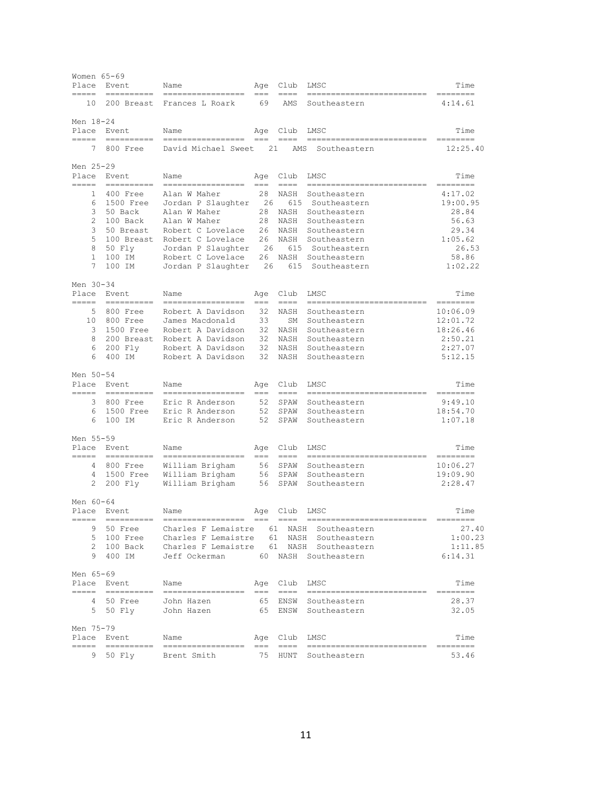| Women 65-69<br>Place | Event                     | Name                                   | Age             | Club               | LMSC                 | Time                   |
|----------------------|---------------------------|----------------------------------------|-----------------|--------------------|----------------------|------------------------|
| =====<br>10          | -----------<br>200 Breast | Frances L Roark                        | 69              | $=$ $=$ $=$<br>AMS | Southeastern         | $=$ $=$ $=$<br>4:14.61 |
| Men 18-24            |                           |                                        |                 |                    |                      |                        |
| Place<br>=====       | Event<br>$=$ $=$ $=$      | Name<br>————                           |                 | Age Club           | LMSC                 | Time<br>---------      |
| 7                    | 800 Free                  | David Michael Sweet                    | 21              | AMS                | Southeastern         | 12:25.40               |
| Men 25-29            |                           |                                        |                 |                    |                      |                        |
| Place<br>$=$         | Event                     | Name                                   | Age             | Club<br>$-$        | LMSC                 | Time                   |
| 1                    | 400 Free                  | Alan W Maher                           | 28              | NASH               | Southeastern         | 4:17.02                |
| 6                    | 1500 Free                 | Jordan P Slaughter                     | 26              | 615                | Southeastern         | 19:00.95               |
| 3                    | 50 Back                   | Alan W Maher                           | 28              | NASH               | Southeastern         | 28.84                  |
| 2                    | 100 Back                  | Alan W Maher                           | 28              | NASH               | Southeastern         | 56.63                  |
| 3                    | 50 Breast                 | Robert C Lovelace                      | 26              | NASH               | Southeastern         | 29.34                  |
| 5                    | 100 Breast                | Robert C Lovelace                      | 26              | NASH               | Southeastern         | 1:05.62                |
| 8                    | 50 Fly                    | Jordan P Slaughter                     | 26              | 615                | Southeastern         | 26.53                  |
| $\mathbf{1}$         | 100 IM                    | Robert C Lovelace                      | 26              | NASH               | Southeastern         | 58.86                  |
| 7                    | 100 IM                    | Jordan P Slaughter                     | 26              | 615                | Southeastern         | 1:02.22                |
| Men 30-34            |                           |                                        |                 |                    |                      |                        |
| Place                | Event                     | Name                                   | Age             | Club               | LMSC                 | Time                   |
| 5                    | ==========<br>800 Free    | =================<br>Robert A Davidson | $==$<br>32      | $==-=$<br>NASH     | Southeastern         | ========<br>10:06.09   |
| 10                   | 800 Free                  | James Macdonald                        | 33              | SΜ                 | Southeastern         | 12:01.72               |
| 3                    | 1500 Free                 | Robert A Davidson                      | 32              | NASH               | Southeastern         | 18:26.46               |
| 8                    | 200 Breast                | Robert A Davidson                      | 32              | NASH               | Southeastern         | 2:50.21                |
| 6                    | 200 Fly                   | Robert A Davidson                      | 32              | NASH               | Southeastern         | 2:27.07                |
| 6                    | 400 IM                    | Robert A Davidson                      | 32 <sup>2</sup> | NASH               | Southeastern         | 5:12.15                |
|                      |                           |                                        |                 |                    |                      |                        |
| Men 50-54<br>Place   | Event                     | Name                                   | Age             | Club               | LMSC                 | Time                   |
| =====                | -----------               |                                        | $==$            | $=$ $=$ $=$        |                      | ========               |
| 3                    | 800 Free                  | Eric R Anderson                        | 52              | SPAW               | Southeastern         | 9:49.10                |
| 6                    | 1500 Free                 | Eric R Anderson                        | 52              | SPAW               | Southeastern         | 18:54.70               |
| 6                    | 100 IM                    | Eric R Anderson                        | 52              | SPAW               | Southeastern         | 1:07.18                |
| Men 55-59            |                           |                                        |                 |                    |                      |                        |
| Place                | Event                     | Name                                   | Age             | Club               | LMSC                 | Time                   |
| =====                | -----------               |                                        | $==$            | $====$             |                      | ========               |
| 4                    | 800 Free                  | William Brigham                        | 56              | SPAW               | Southeastern         | 10:06.27               |
| 4                    | 1500 Free                 | William Brigham                        | 56              | SPAW               | Southeastern         | 19:09.90               |
| 2                    | 200 Fly                   | William Brigham                        | 56              | SPAW               | Southeastern         | 2:28.47                |
| Men 60-64            |                           |                                        |                 |                    |                      |                        |
|                      | Place Event               | Name                                   | Age             | Club               | LMSC                 | Time                   |
| =====<br>9           | $==$<br>50 Free           | Charles F Lemaistre                    |                 | $== == =$          | 61 NASH Southeastern | 27.40                  |
| 5                    | 100 Free                  | Charles F Lemaistre                    |                 |                    | 61 NASH Southeastern | 1:00.23                |
| $\overline{c}$       | 100 Back                  | Charles F Lemaistre                    |                 |                    | 61 NASH Southeastern | 1:11.85                |
| 9                    | 400 IM                    | Jeff Ockerman                          |                 |                    | 60 NASH Southeastern | 6:14.31                |
| Men 65-69            |                           |                                        |                 |                    |                      |                        |
| Place                | Event                     | Name                                   |                 | Age Club           | LMSC                 | Time                   |
| ====                 |                           | ========                               | ===             | $====$             |                      |                        |
| 4                    | 50 Free                   | John Hazen                             | 65              | ENSW               | Southeastern         | 28.37                  |
|                      | 5 50 Fly                  | John Hazen                             | 65              | ENSW               | Southeastern         | 32.05                  |
| Men 75-79            |                           |                                        |                 |                    |                      |                        |
| Place                | Event                     | Name                                   | Age             | Club               | LMSC                 | Time                   |
| $=$ $=$ $=$          | -----------               |                                        | $=$             | $== == =$          |                      |                        |
| 9.                   | 50 Fly                    | Brent Smith                            | 75              | HUNT               | Southeastern         | 53.46                  |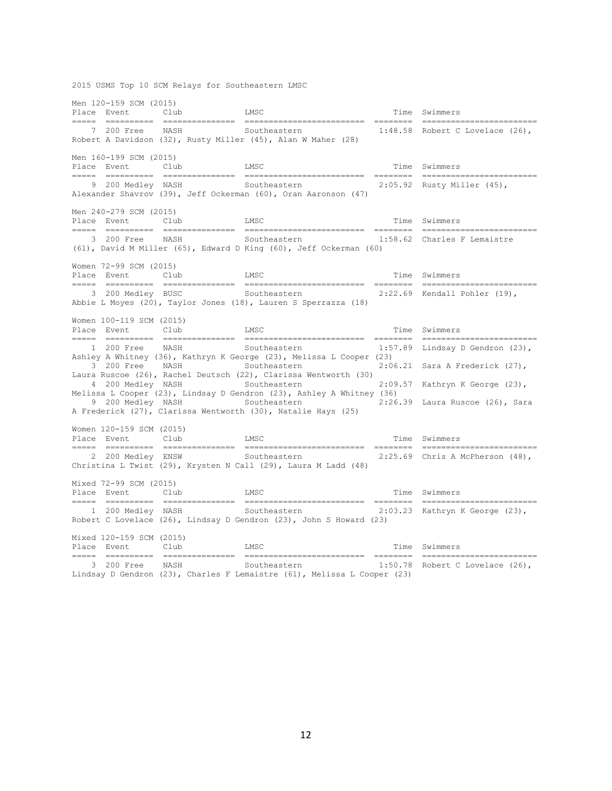2015 USMS Top 10 SCM Relays for Southeastern LMSC

Men 120-159 SCM (2015) Place Event Club LMSC LONGER Time Swimmers ===== ========== =============== ========================= ======== ======================== 7 200 Free NASH Southeastern 1:48.58 Robert C Lovelace (26), Robert A Davidson (32), Rusty Miller (45), Alan W Maher (28) Men 160-199 SCM (2015) Place Event Club LMSC LOUD LAND LAND CLUB LAND LAND CLUB LAND LAND TIME Swimmers ===== ========== =============== ========================= ======== ======================== 9 200 Medley NASH Southeastern 2:05.92 Rusty Miller (45), Alexander Shavrov (39), Jeff Ockerman (60), Oran Aaronson (47) Men 240-279 SCM (2015) Place Event Club LMSC LMSC Time Swimmers ===== ========== =============== ========================= ======== ======================== 3 200 Free NASH Southeastern 1:58.62 Charles F Lemaistre (61), David M Miller (65), Edward D King (60), Jeff Ockerman (60) Women 72-99 SCM (2015) Place Event Club LMSC LOUD LAND LAND CLUB LAND LAND CLUB LAND LAND TIME Swimmers ===== ========== =============== ========================= ======== ======================== 3 200 Medley BUSC Southeastern 2:22.69 Kendall Pohler (19), Abbie L Moyes (20), Taylor Jones (18), Lauren S Sperrazza (18) Women 100-119 SCM (2015) Place Event Club LMSC LMSC Time Swimmers ===== ========== =============== ========================= ======== ======================== 1 200 Free NASH Southeastern 1:57.89 Lindsay D Gendron (23), Ashley A Whitney (36), Kathryn K George (23), Melissa L Cooper (23) 3 200 Free NASH Southeastern 2:06.21 Sara A Frederick (27), Laura Ruscoe (26), Rachel Deutsch (22), Clarissa Wentworth (30) 4 200 Medley NASH Southeastern 2:09.57 Kathryn K George (23), Melissa L Cooper (23), Lindsay D Gendron (23), Ashley A Whitney (36)<br>9 200 Medley NASH Southeastern 2:26.39 Laura Ruscoe (26), Sara 9 200 Medley NASH Southeastern A Frederick (27), Clarissa Wentworth (30), Natalie Hays (25) Women 120-159 SCM (2015) Place Event Club LMSC LMSC Time Swimmers ===== ========== =============== ========================= ======== ======================== 2 200 Medley ENSW Southeastern 2:25.69 Chris A McPherson (48), Christina L Twist (29), Krysten N Call (29), Laura M Ladd (48) Mixed 72-99 SCM (2015) Place Event Club LMSC **LAGE CONSTRANGE CLUB** ===== ========== =============== ========================= ======== ======================== 1 200 Medley NASH Southeastern 2:03.23 Kathryn K George (23), Robert C Lovelace (26), Lindsay D Gendron (23), John S Howard (23) Mixed 120-159 SCM (2015) Place Event Club LMSC LMSC Time Swimmers ===== ========== =============== ========================= ======== ======================== 3 200 Free NASH Southeastern Lindsay D Gendron (23), Charles F Lemaistre (61), Melissa L Cooper (23)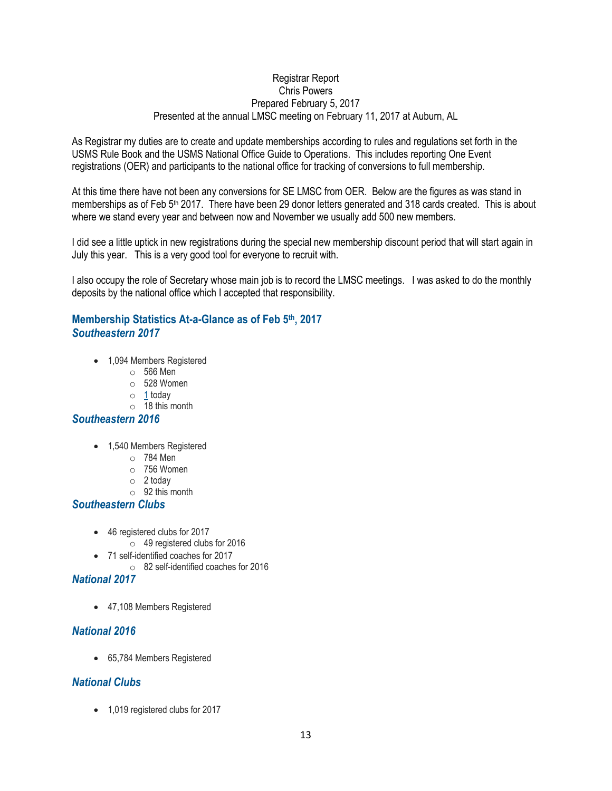### Registrar Report Chris Powers Prepared February 5, 2017 Presented at the annual LMSC meeting on February 11, 2017 at Auburn, AL

As Registrar my duties are to create and update memberships according to rules and regulations set forth in the USMS Rule Book and the USMS National Office Guide to Operations. This includes reporting One Event registrations (OER) and participants to the national office for tracking of conversions to full membership.

At this time there have not been any conversions for SE LMSC from OER. Below are the figures as was stand in memberships as of Feb 5<sup>th</sup> 2017. There have been 29 donor letters generated and 318 cards created. This is about where we stand every year and between now and November we usually add 500 new members.

I did see a little uptick in new registrations during the special new membership discount period that will start again in July this year. This is a very good tool for everyone to recruit with.

I also occupy the role of Secretary whose main job is to record the LMSC meetings. I was asked to do the monthly deposits by the national office which I accepted that responsibility.

# **Membership Statistics At-a-Glance as of Feb 5th, 2017** *Southeastern 2017*

- 1,094 Members Registered
	- o 566 Men
	- $\circ$  528 Women
	- $\circ$  [1](https://www.usms.org/usmsadmin/reg/reports/regdate.php?Year=2017&RegDate=2017-02-05&LMSCID=15) today
		- $\circ$  18 this month

# *Southeastern 2016*

- 1,540 Members Registered
	- o 784 Men
	- o 756 Women
	- $\circ$  2 today
	- o 92 this month

# *Southeastern Clubs*

- 46 registered clubs for 2017
	- o 49 registered clubs for 2016
- 71 self-identified coaches for 2017
	- o 82 self-identified coaches for 2016

# *National 2017*

• 47,108 Members Registered

# *National 2016*

65,784 Members Registered

# *National Clubs*

• 1,019 registered clubs for 2017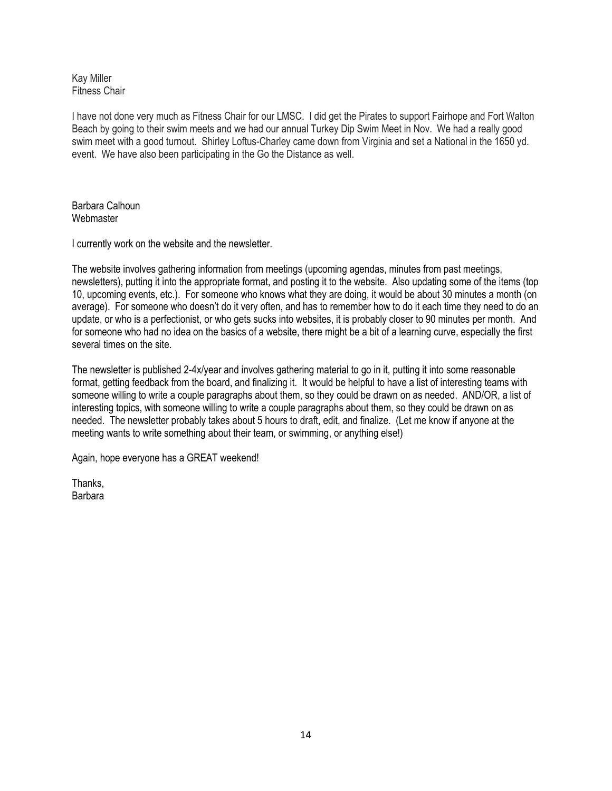#### Kay Miller Fitness Chair

I have not done very much as Fitness Chair for our LMSC. I did get the Pirates to support Fairhope and Fort Walton Beach by going to their swim meets and we had our annual Turkey Dip Swim Meet in Nov. We had a really good swim meet with a good turnout. Shirley Loftus-Charley came down from Virginia and set a National in the 1650 yd. event. We have also been participating in the Go the Distance as well.

Barbara Calhoun **Webmaster** 

I currently work on the website and the newsletter.

The website involves gathering information from meetings (upcoming agendas, minutes from past meetings, newsletters), putting it into the appropriate format, and posting it to the website. Also updating some of the items (top 10, upcoming events, etc.). For someone who knows what they are doing, it would be about 30 minutes a month (on average). For someone who doesn't do it very often, and has to remember how to do it each time they need to do an update, or who is a perfectionist, or who gets sucks into websites, it is probably closer to 90 minutes per month. And for someone who had no idea on the basics of a website, there might be a bit of a learning curve, especially the first several times on the site.

The newsletter is published 2-4x/year and involves gathering material to go in it, putting it into some reasonable format, getting feedback from the board, and finalizing it. It would be helpful to have a list of interesting teams with someone willing to write a couple paragraphs about them, so they could be drawn on as needed. AND/OR, a list of interesting topics, with someone willing to write a couple paragraphs about them, so they could be drawn on as needed. The newsletter probably takes about 5 hours to draft, edit, and finalize. (Let me know if anyone at the meeting wants to write something about their team, or swimming, or anything else!)

Again, hope everyone has a GREAT weekend!

**Thanks** Barbara